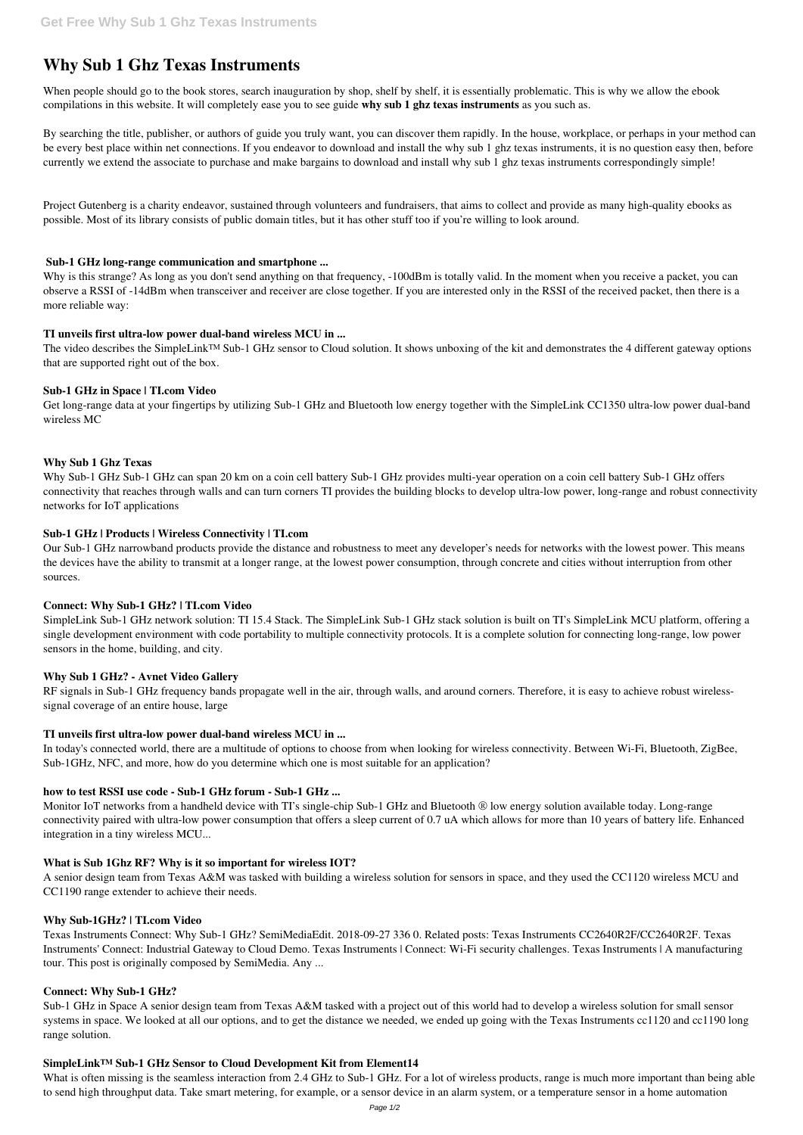# **Why Sub 1 Ghz Texas Instruments**

When people should go to the book stores, search inauguration by shop, shelf by shelf, it is essentially problematic. This is why we allow the ebook compilations in this website. It will completely ease you to see guide **why sub 1 ghz texas instruments** as you such as.

By searching the title, publisher, or authors of guide you truly want, you can discover them rapidly. In the house, workplace, or perhaps in your method can be every best place within net connections. If you endeavor to download and install the why sub 1 ghz texas instruments, it is no question easy then, before currently we extend the associate to purchase and make bargains to download and install why sub 1 ghz texas instruments correspondingly simple!

Why is this strange? As long as you don't send anything on that frequency, -100dBm is totally valid. In the moment when you receive a packet, you can observe a RSSI of -14dBm when transceiver and receiver are close together. If you are interested only in the RSSI of the received packet, then there is a more reliable way:

The video describes the SimpleLink™ Sub-1 GHz sensor to Cloud solution. It shows unboxing of the kit and demonstrates the 4 different gateway options that are supported right out of the box.

Project Gutenberg is a charity endeavor, sustained through volunteers and fundraisers, that aims to collect and provide as many high-quality ebooks as possible. Most of its library consists of public domain titles, but it has other stuff too if you're willing to look around.

#### **Sub-1 GHz long-range communication and smartphone ...**

## **TI unveils first ultra-low power dual-band wireless MCU in ...**

#### **Sub-1 GHz in Space | TI.com Video**

Get long-range data at your fingertips by utilizing Sub-1 GHz and Bluetooth low energy together with the SimpleLink CC1350 ultra-low power dual-band wireless MC

## **Why Sub 1 Ghz Texas**

Monitor IoT networks from a handheld device with TI's single-chip Sub-1 GHz and Bluetooth ® low energy solution available today. Long-range connectivity paired with ultra-low power consumption that offers a sleep current of 0.7 uA which allows for more than 10 years of battery life. Enhanced integration in a tiny wireless MCU...

Why Sub-1 GHz Sub-1 GHz can span 20 km on a coin cell battery Sub-1 GHz provides multi-year operation on a coin cell battery Sub-1 GHz offers connectivity that reaches through walls and can turn corners TI provides the building blocks to develop ultra-low power, long-range and robust connectivity networks for IoT applications

#### **Sub-1 GHz | Products | Wireless Connectivity | TI.com**

Our Sub-1 GHz narrowband products provide the distance and robustness to meet any developer's needs for networks with the lowest power. This means the devices have the ability to transmit at a longer range, at the lowest power consumption, through concrete and cities without interruption from other sources.

What is often missing is the seamless interaction from 2.4 GHz to Sub-1 GHz. For a lot of wireless products, range is much more important than being able to send high throughput data. Take smart metering, for example, or a sensor device in an alarm system, or a temperature sensor in a home automation

## **Connect: Why Sub-1 GHz? | TI.com Video**

SimpleLink Sub-1 GHz network solution: TI 15.4 Stack. The SimpleLink Sub-1 GHz stack solution is built on TI's SimpleLink MCU platform, offering a single development environment with code portability to multiple connectivity protocols. It is a complete solution for connecting long-range, low power sensors in the home, building, and city.

#### **Why Sub 1 GHz? - Avnet Video Gallery**

RF signals in Sub-1 GHz frequency bands propagate well in the air, through walls, and around corners. Therefore, it is easy to achieve robust wirelesssignal coverage of an entire house, large

## **TI unveils first ultra-low power dual-band wireless MCU in ...**

In today's connected world, there are a multitude of options to choose from when looking for wireless connectivity. Between Wi-Fi, Bluetooth, ZigBee, Sub-1GHz, NFC, and more, how do you determine which one is most suitable for an application?

## **how to test RSSI use code - Sub-1 GHz forum - Sub-1 GHz ...**

#### **What is Sub 1Ghz RF? Why is it so important for wireless IOT?**

A senior design team from Texas A&M was tasked with building a wireless solution for sensors in space, and they used the CC1120 wireless MCU and CC1190 range extender to achieve their needs.

#### **Why Sub-1GHz? | TI.com Video**

Texas Instruments Connect: Why Sub-1 GHz? SemiMediaEdit. 2018-09-27 336 0. Related posts: Texas Instruments CC2640R2F/CC2640R2F. Texas Instruments' Connect: Industrial Gateway to Cloud Demo. Texas Instruments | Connect: Wi-Fi security challenges. Texas Instruments | A manufacturing tour. This post is originally composed by SemiMedia. Any ...

#### **Connect: Why Sub-1 GHz?**

Sub-1 GHz in Space A senior design team from Texas A&M tasked with a project out of this world had to develop a wireless solution for small sensor systems in space. We looked at all our options, and to get the distance we needed, we ended up going with the Texas Instruments cc1120 and cc1190 long range solution.

#### **SimpleLink™ Sub-1 GHz Sensor to Cloud Development Kit from Element14**